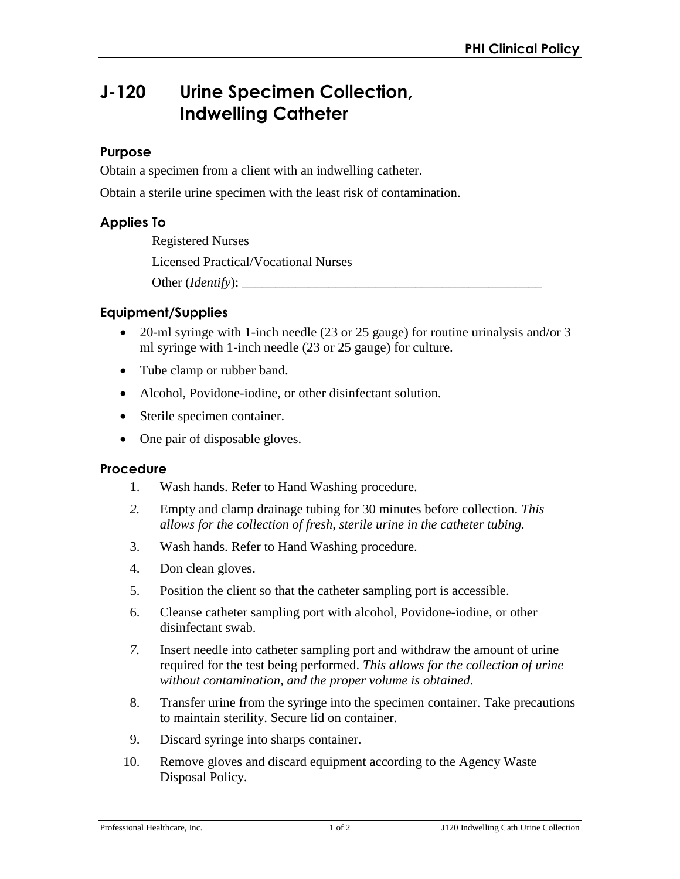# **J-120 Urine Specimen Collection, Indwelling Catheter**

### **Purpose**

Obtain a specimen from a client with an indwelling catheter.

Obtain a sterile urine specimen with the least risk of contamination.

## **Applies To**

Registered Nurses Licensed Practical/Vocational Nurses Other (*Identify*):

#### **Equipment/Supplies**

- 20-ml syringe with 1-inch needle (23 or 25 gauge) for routine urinalysis and/or 3 ml syringe with 1-inch needle (23 or 25 gauge) for culture.
- Tube clamp or rubber band.
- Alcohol, Povidone-iodine, or other disinfectant solution.
- Sterile specimen container.
- One pair of disposable gloves.

#### **Procedure**

- 1. Wash hands. Refer to Hand Washing procedure.
- *2.* Empty and clamp drainage tubing for 30 minutes before collection. *This allows for the collection of fresh, sterile urine in the catheter tubing.*
- 3. Wash hands. Refer to Hand Washing procedure.
- 4. Don clean gloves.
- 5. Position the client so that the catheter sampling port is accessible.
- 6. Cleanse catheter sampling port with alcohol, Povidone-iodine, or other disinfectant swab.
- *7.* Insert needle into catheter sampling port and withdraw the amount of urine required for the test being performed. *This allows for the collection of urine without contamination, and the proper volume is obtained.*
- 8. Transfer urine from the syringe into the specimen container. Take precautions to maintain sterility. Secure lid on container.
- 9. Discard syringe into sharps container.
- 10. Remove gloves and discard equipment according to the Agency Waste Disposal Policy.